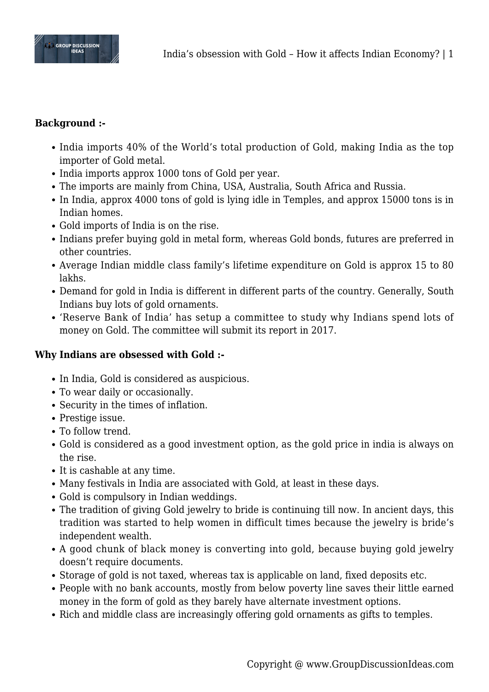

## **Background :-**

- India imports 40% of the World's total production of Gold, making India as the top importer of Gold metal.
- India imports approx 1000 tons of Gold per year.
- The imports are mainly from China, USA, Australia, South Africa and Russia.
- In India, approx 4000 tons of gold is lying idle in Temples, and approx 15000 tons is in Indian homes.
- Gold imports of India is on the rise.
- Indians prefer buying gold in metal form, whereas Gold bonds, futures are preferred in other countries.
- Average Indian middle class family's lifetime expenditure on Gold is approx 15 to 80 lakhs.
- Demand for gold in India is different in different parts of the country. Generally, South Indians buy lots of gold ornaments.
- 'Reserve Bank of India' has setup a committee to study why Indians spend lots of money on Gold. The committee will submit its report in 2017.

# **Why Indians are obsessed with Gold :-**

- In India, Gold is considered as auspicious.
- To wear daily or occasionally.
- Security in the times of inflation.
- Prestige issue.
- To follow trend.
- Gold is considered as a good investment option, as the gold price in india is always on the rise.
- It is cashable at any time.
- Many festivals in India are associated with Gold, at least in these days.
- Gold is compulsory in Indian weddings.
- The tradition of giving Gold jewelry to bride is continuing till now. In ancient days, this tradition was started to help women in difficult times because the jewelry is bride's independent wealth.
- A good chunk of black money is converting into gold, because buying gold jewelry doesn't require documents.
- Storage of gold is not taxed, whereas tax is applicable on land, fixed deposits etc.
- People with no bank accounts, mostly from below poverty line saves their little earned money in the form of gold as they barely have alternate investment options.
- Rich and middle class are increasingly offering gold ornaments as gifts to temples.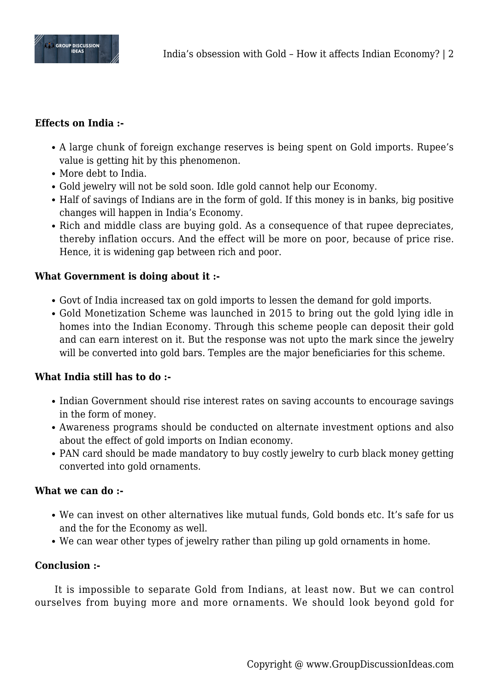

## **Effects on India :-**

- A large chunk of foreign exchange reserves is being spent on Gold imports. Rupee's value is getting hit by this phenomenon.
- More debt to India.
- Gold jewelry will not be sold soon. Idle gold cannot help our Economy.
- Half of savings of Indians are in the form of gold. If this money is in banks, big positive changes will happen in India's Economy.
- Rich and middle class are buying gold. As a consequence of that rupee depreciates, thereby inflation occurs. And the effect will be more on poor, because of price rise. Hence, it is widening gap between rich and poor.

# **What Government is doing about it :-**

- Govt of India increased tax on gold imports to lessen the demand for gold imports.
- Gold Monetization Scheme was launched in 2015 to bring out the gold lying idle in homes into the Indian Economy. Through this scheme people can deposit their gold and can earn interest on it. But the response was not upto the mark since the jewelry will be converted into gold bars. Temples are the major beneficiaries for this scheme.

## **What India still has to do :-**

- Indian Government should rise interest rates on saving accounts to encourage savings in the form of money.
- Awareness programs should be conducted on alternate investment options and also about the effect of gold imports on Indian economy.
- PAN card should be made mandatory to buy costly jewelry to curb black money getting converted into gold ornaments.

## **What we can do :-**

- We can invest on other alternatives like mutual funds, Gold bonds etc. It's safe for us and the for the Economy as well.
- We can wear other types of jewelry rather than piling up gold ornaments in home.

## **Conclusion :-**

It is impossible to separate Gold from Indians, at least now. But we can control ourselves from buying more and more ornaments. We should look beyond gold for